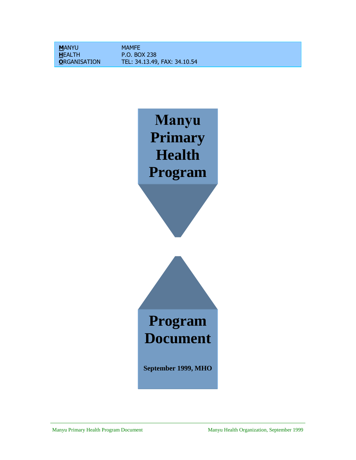**MANYU** MAMFE<br> **HEALTH** P.O. BO **HEALTH** P.O. BOX 238<br>**ORGANISATION** TEL: 34.13.49

**O**RGANISATION TEL: 34.13.49, FAX: 34.10.54

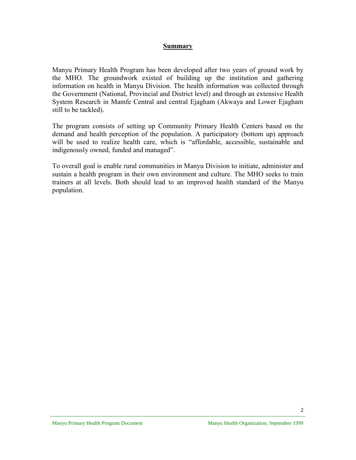#### Summary

Manyu Primary Health Program has been developed after two years of ground work by the MHO. The groundwork existed of building up the institution and gathering information on health in Manyu Division. The health information was collected through the Government (National, Provincial and District level) and through an extensive Health System Research in Mamfe Central and central Ejagham (Akwaya and Lower Ejagham still to be tackled).

The program consists of setting up Community Primary Health Centers based on the demand and health perception of the population. A participatory (bottom up) approach will be used to realize health care, which is "affordable, accessible, sustainable and indigenously owned, funded and managed".

To overall goal is enable rural communities in Manyu Division to initiate, administer and sustain a health program in their own environment and culture. The MHO seeks to train trainers at all levels. Both should lead to an improved health standard of the Manyu population.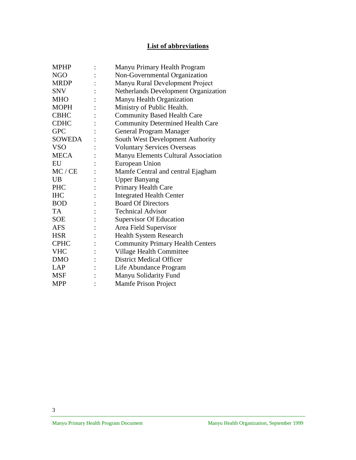## List of abbreviations

| <b>MPHP</b>   | Manyu Primary Health Program            |
|---------------|-----------------------------------------|
| <b>NGO</b>    | Non-Governmental Organization           |
| <b>MRDP</b>   | Manyu Rural Development Project         |
| <b>SNV</b>    | Netherlands Development Organization    |
| <b>MHO</b>    | Manyu Health Organization               |
| <b>MOPH</b>   | Ministry of Public Health.              |
| <b>CBHC</b>   | <b>Community Based Health Care</b>      |
| <b>CDHC</b>   | <b>Community Determined Health Care</b> |
| <b>GPC</b>    | <b>General Program Manager</b>          |
| <b>SOWEDA</b> | South West Development Authority        |
| <b>VSO</b>    | <b>Voluntary Services Overseas</b>      |
| <b>MECA</b>   | Manyu Elements Cultural Association     |
| EU            | European Union                          |
| MC / CE       | Mamfe Central and central Ejagham       |
| <b>UB</b>     | <b>Upper Banyang</b>                    |
| <b>PHC</b>    | Primary Health Care                     |
| <b>IHC</b>    | <b>Integrated Health Center</b>         |
| <b>BOD</b>    | <b>Board Of Directors</b>               |
| <b>TA</b>     | <b>Technical Advisor</b>                |
| <b>SOE</b>    | <b>Supervisor Of Education</b>          |
| <b>AFS</b>    | Area Field Supervisor                   |
| <b>HSR</b>    | <b>Health System Research</b>           |
| <b>CPHC</b>   | <b>Community Primary Health Centers</b> |
| <b>VHC</b>    | Village Health Committee                |
| <b>DMO</b>    | <b>District Medical Officer</b>         |
| <b>LAP</b>    | Life Abundance Program                  |
| MSF           | Manyu Solidarity Fund                   |
| <b>MPP</b>    | <b>Mamfe Prison Project</b>             |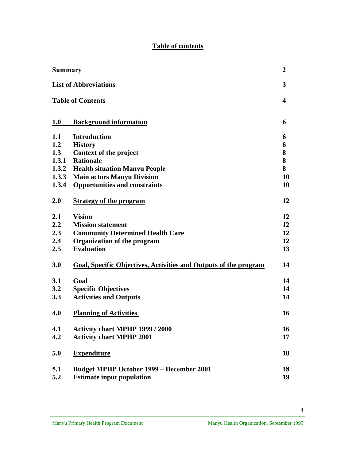## Table of contents

| 3<br><b>List of Abbreviations</b><br><b>Table of Contents</b><br>4<br><b>Background information</b><br><b>1.0</b><br>6<br><b>Introduction</b><br>1.1<br>6<br>1.2<br><b>History</b><br>6<br>1.3<br>Context of the project<br>8<br><b>Rationale</b><br>1.3.1<br>8<br>1.3.2<br>8<br><b>Health situation Manyu People</b><br>1.3.3<br><b>Main actors Manyu Division</b><br>1.3.4<br><b>Opportunities and constraints</b><br>2.0<br><b>Strategy of the program</b><br>2.1<br><b>Vision</b><br>2.2<br><b>Mission statement</b><br>2.3<br><b>Community Determined Health Care</b><br>2.4<br>Organization of the program<br><b>Evaluation</b><br>2.5<br>3.0<br><b>Goal, Specific Objectives, Activities and Outputs of the program</b><br>3.1<br>Goal<br>3.2<br><b>Specific Objectives</b><br><b>Activities and Outputs</b><br>3.3<br>4.0<br><b>Planning of Activities</b><br>4.1<br>Activity chart MPHP 1999 / 2000<br>4.2<br><b>Activity chart MPHP 2001</b><br>5.0<br><b>Expenditure</b><br><b>Budget MPHP October 1999 - December 2001</b><br>5.1<br>5.2<br><b>Estimate input population</b> | <b>Summary</b> | $\boldsymbol{2}$ |
|------------------------------------------------------------------------------------------------------------------------------------------------------------------------------------------------------------------------------------------------------------------------------------------------------------------------------------------------------------------------------------------------------------------------------------------------------------------------------------------------------------------------------------------------------------------------------------------------------------------------------------------------------------------------------------------------------------------------------------------------------------------------------------------------------------------------------------------------------------------------------------------------------------------------------------------------------------------------------------------------------------------------------------------------------------------------------------------|----------------|------------------|
|                                                                                                                                                                                                                                                                                                                                                                                                                                                                                                                                                                                                                                                                                                                                                                                                                                                                                                                                                                                                                                                                                          |                |                  |
|                                                                                                                                                                                                                                                                                                                                                                                                                                                                                                                                                                                                                                                                                                                                                                                                                                                                                                                                                                                                                                                                                          |                |                  |
|                                                                                                                                                                                                                                                                                                                                                                                                                                                                                                                                                                                                                                                                                                                                                                                                                                                                                                                                                                                                                                                                                          |                |                  |
|                                                                                                                                                                                                                                                                                                                                                                                                                                                                                                                                                                                                                                                                                                                                                                                                                                                                                                                                                                                                                                                                                          |                |                  |
|                                                                                                                                                                                                                                                                                                                                                                                                                                                                                                                                                                                                                                                                                                                                                                                                                                                                                                                                                                                                                                                                                          |                |                  |
|                                                                                                                                                                                                                                                                                                                                                                                                                                                                                                                                                                                                                                                                                                                                                                                                                                                                                                                                                                                                                                                                                          |                |                  |
|                                                                                                                                                                                                                                                                                                                                                                                                                                                                                                                                                                                                                                                                                                                                                                                                                                                                                                                                                                                                                                                                                          |                |                  |
|                                                                                                                                                                                                                                                                                                                                                                                                                                                                                                                                                                                                                                                                                                                                                                                                                                                                                                                                                                                                                                                                                          |                |                  |
|                                                                                                                                                                                                                                                                                                                                                                                                                                                                                                                                                                                                                                                                                                                                                                                                                                                                                                                                                                                                                                                                                          |                | 10               |
|                                                                                                                                                                                                                                                                                                                                                                                                                                                                                                                                                                                                                                                                                                                                                                                                                                                                                                                                                                                                                                                                                          |                | 10               |
|                                                                                                                                                                                                                                                                                                                                                                                                                                                                                                                                                                                                                                                                                                                                                                                                                                                                                                                                                                                                                                                                                          |                | 12               |
|                                                                                                                                                                                                                                                                                                                                                                                                                                                                                                                                                                                                                                                                                                                                                                                                                                                                                                                                                                                                                                                                                          |                | 12               |
|                                                                                                                                                                                                                                                                                                                                                                                                                                                                                                                                                                                                                                                                                                                                                                                                                                                                                                                                                                                                                                                                                          |                | 12               |
|                                                                                                                                                                                                                                                                                                                                                                                                                                                                                                                                                                                                                                                                                                                                                                                                                                                                                                                                                                                                                                                                                          |                | 12               |
|                                                                                                                                                                                                                                                                                                                                                                                                                                                                                                                                                                                                                                                                                                                                                                                                                                                                                                                                                                                                                                                                                          |                | 12               |
|                                                                                                                                                                                                                                                                                                                                                                                                                                                                                                                                                                                                                                                                                                                                                                                                                                                                                                                                                                                                                                                                                          |                | 13               |
|                                                                                                                                                                                                                                                                                                                                                                                                                                                                                                                                                                                                                                                                                                                                                                                                                                                                                                                                                                                                                                                                                          |                | 14               |
|                                                                                                                                                                                                                                                                                                                                                                                                                                                                                                                                                                                                                                                                                                                                                                                                                                                                                                                                                                                                                                                                                          |                | 14               |
|                                                                                                                                                                                                                                                                                                                                                                                                                                                                                                                                                                                                                                                                                                                                                                                                                                                                                                                                                                                                                                                                                          |                | 14               |
|                                                                                                                                                                                                                                                                                                                                                                                                                                                                                                                                                                                                                                                                                                                                                                                                                                                                                                                                                                                                                                                                                          |                | 14               |
|                                                                                                                                                                                                                                                                                                                                                                                                                                                                                                                                                                                                                                                                                                                                                                                                                                                                                                                                                                                                                                                                                          |                | 16               |
|                                                                                                                                                                                                                                                                                                                                                                                                                                                                                                                                                                                                                                                                                                                                                                                                                                                                                                                                                                                                                                                                                          |                | 16               |
|                                                                                                                                                                                                                                                                                                                                                                                                                                                                                                                                                                                                                                                                                                                                                                                                                                                                                                                                                                                                                                                                                          |                | 17               |
|                                                                                                                                                                                                                                                                                                                                                                                                                                                                                                                                                                                                                                                                                                                                                                                                                                                                                                                                                                                                                                                                                          |                | 18               |
|                                                                                                                                                                                                                                                                                                                                                                                                                                                                                                                                                                                                                                                                                                                                                                                                                                                                                                                                                                                                                                                                                          |                | 18               |
|                                                                                                                                                                                                                                                                                                                                                                                                                                                                                                                                                                                                                                                                                                                                                                                                                                                                                                                                                                                                                                                                                          |                | 19               |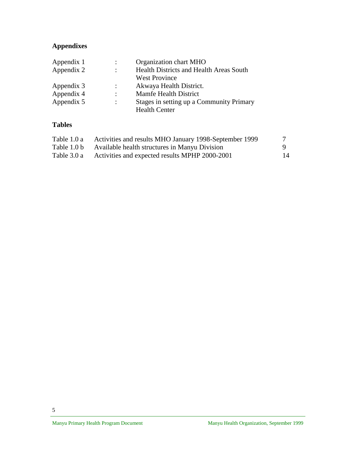## **Appendixes**

| Appendix 1 | ÷                    | Organization chart MHO                   |
|------------|----------------------|------------------------------------------|
| Appendix 2 | $\ddot{\cdot}$       | Health Districts and Health Areas South  |
|            |                      | <b>West Province</b>                     |
| Appendix 3 | $\ddot{\phantom{0}}$ | Akwaya Health District.                  |
| Appendix 4 | $\ddot{\cdot}$       | <b>Mamfe Health District</b>             |
| Appendix 5 | $\ddot{\cdot}$       | Stages in setting up a Community Primary |
|            |                      | <b>Health Center</b>                     |

## **Tables**

| Table 1.0 a | Activities and results MHO January 1998-September 1999 |    |
|-------------|--------------------------------------------------------|----|
| Table 1.0 b | Available health structures in Manyu Division          |    |
| Table 3.0 a | Activities and expected results MPHP 2000-2001         | 14 |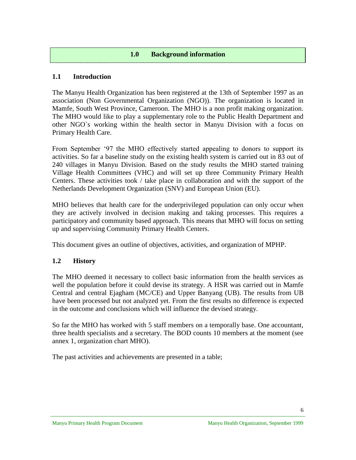### **1.0 Background information**

### **1.1 Introduction**

**1.1 Introduction**

The Manyu Health Organization has been registered at the 13th of September 1997 as an association (Non Governmental Organization (NGO)). The organization is located in Mamfe, South West Province, Cameroon. The MHO is a non profit making organization. The MHO would like to play a supplementary role to the Public Health Department and other NGO`s working within the health sector in Manyu Division with a focus on Primary Health Care.

From September '97 the MHO effectively started appealing to donors to support its activities. So far a baseline study on the existing health system is carried out in 83 out of 240 villages in Manyu Division. Based on the study results the MHO started training Village Health Committees (VHC) and will set up three Community Primary Health Centers. These activities took / take place in collaboration and with the support of the Netherlands Development Organization (SNV) and European Union (EU).

MHO believes that health care for the underprivileged population can only occur when they are actively involved in decision making and taking processes. This requires a participatory and community based approach. This means that MHO will focus on setting up and supervising Community Primary Health Centers.

This document gives an outline of objectives, activities, and organization of MPHP.

## **1.2 History**

The MHO deemed it necessary to collect basic information from the health services as well the population before it could devise its strategy. A HSR was carried out in Mamfe Central and central Ejagham (MC/CE) and Upper Banyang (UB). The results from UB have been processed but not analyzed yet. From the first results no difference is expected in the outcome and conclusions which will influence the devised strategy.

So far the MHO has worked with 5 staff members on a temporally base. One accountant, three health specialists and a secretary. The BOD counts 10 members at the moment (see annex 1, organization chart MHO).

The past activities and achievements are presented in a table;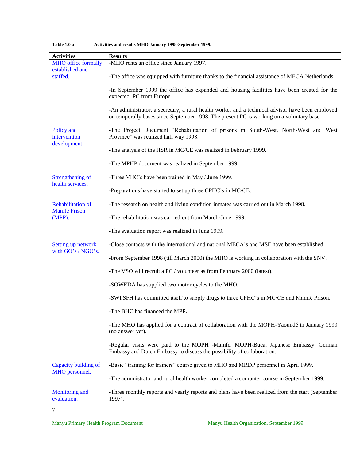| <b>Activities</b>                               | <b>Results</b>                                                                                                                                                                               |
|-------------------------------------------------|----------------------------------------------------------------------------------------------------------------------------------------------------------------------------------------------|
| <b>MHO</b> office formally                      | -MHO rents an office since January 1997.                                                                                                                                                     |
| established and<br>staffed.                     | -The office was equipped with furniture thanks to the financial assistance of MECA Netherlands.                                                                                              |
|                                                 | -In September 1999 the office has expanded and housing facilities have been created for the<br>expected PC from Europe.                                                                      |
|                                                 | -An administrator, a secretary, a rural health worker and a technical advisor have been employed<br>on temporally bases since September 1998. The present PC is working on a voluntary base. |
| Policy and<br>intervention<br>development.      | -The Project Document "Rehabilitation of prisons in South-West, North-West and West<br>Province" was realized half way 1998.                                                                 |
|                                                 | -The analysis of the HSR in MC/CE was realized in February 1999.                                                                                                                             |
|                                                 | -The MPHP document was realized in September 1999.                                                                                                                                           |
| Strengthening of<br>health services.            | -Three VHC's have been trained in May / June 1999.                                                                                                                                           |
|                                                 | -Preparations have started to set up three CPHC's in MC/CE.                                                                                                                                  |
| <b>Rehabilitation of</b><br><b>Mamfe Prison</b> | -The research on health and living condition inmates was carried out in March 1998.                                                                                                          |
| (MPP).                                          | -The rehabilitation was carried out from March-June 1999.                                                                                                                                    |
|                                                 | -The evaluation report was realized in June 1999.                                                                                                                                            |
| Setting up network<br>with GO's / NGO's.        | -Close contacts with the international and national MECA's and MSF have been established.                                                                                                    |
|                                                 | -From September 1998 (till March 2000) the MHO is working in collaboration with the SNV.                                                                                                     |
|                                                 | -The VSO will recruit a PC / volunteer as from February 2000 (latest).                                                                                                                       |
|                                                 | -SOWEDA has supplied two motor cycles to the MHO.                                                                                                                                            |
|                                                 | -SWPSFH has committed itself to supply drugs to three CPHC's in MC/CE and Mamfe Prison.                                                                                                      |
|                                                 | -The BHC has financed the MPP.                                                                                                                                                               |
|                                                 | -The MHO has applied for a contract of collaboration with the MOPH-Yaoundé in January 1999<br>(no answer yet).                                                                               |
|                                                 | -Regular visits were paid to the MOPH -Mamfe, MOPH-Buea, Japanese Embassy, German<br>Embassy and Dutch Embassy to discuss the possibility of collaboration.                                  |
| Capacity building of                            | -Basic "training for trainers" course given to MHO and MRDP personnel in April 1999.                                                                                                         |
| MHO personnel.                                  | -The administrator and rural health worker completed a computer course in September 1999.                                                                                                    |
| Monitoring and                                  | -Three monthly reports and yearly reports and plans have been realized from the start (September                                                                                             |
| evaluation.                                     | 1997).                                                                                                                                                                                       |

**Table 1.0 a Activities and results MHO January 1998-September 1999.**

7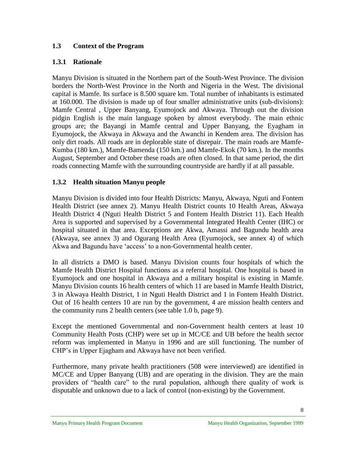## **1.3 Context of the Program**

## **1.3.1 Rationale**

Manyu Division is situated in the Northern part of the South-West Province. The division borders the North-West Province in the North and Nigeria in the West. The divisional capital is Mamfe. Its surface is 8.500 square km. Total number of inhabitants is estimated at 160.000. The division is made up of four smaller administrative units (sub-divisions): Mamfe Central , Upper Banyang, Eyumojock and Akwaya. Through out the division pidgin English is the main language spoken by almost everybody. The main ethnic groups are; the Bayangi in Mamfe central and Upper Banyang, the Eyagham in Eyumojock, the Akwaya in Akwaya and the Awanchi in Kendem area. The division has only dirt roads. All roads are in deplorable state of disrepair. The main roads are Mamfe-Kumba (180 km.), Mamfe-Bamenda (150 km.) and Mamfe-Ekok (70 km.). In the months August, September and October these roads are often closed. In that same period, the dirt roads connecting Mamfe with the surrounding countryside are hardly if at all passable.

## **1.3.2 Health situation Manyu people**

Manyu Division is divided into four Health Districts: Manyu, Akwaya, Nguti and Fontem Health District (see annex 2). Manyu Health District counts 10 Health Areas, Akwaya Health District 4 (Nguti Health District 5 and Fontem Health District 11). Each Health Area is supported and supervised by a Governmental Integrated Health Center (IHC) or hospital situated in that area. Exceptions are Akwa, Amassi and Bagundu health area (Akwaya, see annex 3) and Ogurang Health Area (Eyumojock, see annex 4) of which Akwa and Bagundu have 'access' to a non-Governmental health center.

In all districts a DMO is based. Manyu Division counts four hospitals of which the Mamfe Health District Hospital functions as a referral hospital. One hospital is based in Eyumojock and one hospital in Akwaya and a military hospital is existing in Mamfe. Manyu Division counts 16 health centers of which 11 are based in Mamfe Health District, 3 in Akwaya Health District, 1 in Nguti Health District and 1 in Fontem Health District. Out of 16 health centers 10 are run by the government, 4 are mission health centers and the community runs 2 health centers (see table 1.0 b, page 9).

Except the mentioned Governmental and non-Government health centers at least 10 Community Health Posts (CHP) were set up in MC/CE and UB before the health sector reform was implemented in Manyu in 1996 and are still functioning. The number of CHP's in Upper Ejagham and Akwaya have not been verified.

Furthermore, many private health practitioners (508 were interviewed) are identified in MC/CE and Upper Banyang (UB) and are operating in the division. They are the main providers of "health care" to the rural population, although there quality of work is disputable and unknown due to a lack of control (non-existing) by the Government.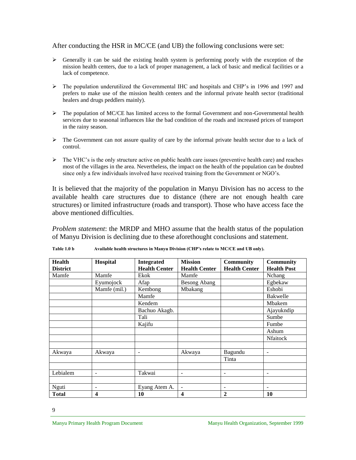After conducting the HSR in MC/CE (and UB) the following conclusions were set:

- $\triangleright$  Generally it can be said the existing health system is performing poorly with the exception of the mission health centers, due to a lack of proper management, a lack of basic and medical facilities or a lack of competence.
- $\triangleright$  The population underutilized the Governmental IHC and hospitals and CHP's in 1996 and 1997 and prefers to make use of the mission health centers and the informal private health sector (traditional healers and drugs peddlers mainly).
- $\triangleright$  The population of MC/CE has limited access to the formal Government and non-Governmental health services due to seasonal influences like the bad condition of the roads and increased prices of transport in the rainy season.
- $\triangleright$  The Government can not assure quality of care by the informal private health sector due to a lack of control.
- $\triangleright$  The VHC's is the only structure active on public health care issues (preventive health care) and reaches most of the villages in the area. Nevertheless, the impact on the health of the population can be doubted since only a few individuals involved have received training from the Government or NGO's.

It is believed that the majority of the population in Manyu Division has no access to the available health care structures due to distance (there are not enough health care structures) or limited infrastructure (roads and transport). Those who have access face the above mentioned difficulties.

*Problem statement*: the MRDP and MHO assume that the health status of the population of Manyu Division is declining due to these aforethought conclusions and statement.

| <b>Health</b>   | Hospital     | <b>Integrated</b>        | <b>Mission</b>       | <b>Community</b>         | <b>Community</b>         |
|-----------------|--------------|--------------------------|----------------------|--------------------------|--------------------------|
| <b>District</b> |              | <b>Health Center</b>     | <b>Health Center</b> | <b>Health Center</b>     | <b>Health Post</b>       |
| Mamfe           | Mamfe        | Ekok                     | Mamfe                |                          | Nchang                   |
|                 | Eyumojock    | Afap                     | <b>Besong Abang</b>  |                          | Egbekaw                  |
|                 | Mamfe (mil.) | Kembong                  | Mbakang              |                          | Eshobi                   |
|                 |              | Mamfe                    |                      |                          | Bakwelle                 |
|                 |              | Kendem                   |                      |                          | Mbakem                   |
|                 |              | Bachuo Akagb.            |                      |                          | Ajayukndip               |
|                 |              | Tali                     |                      |                          | Sumbe                    |
|                 |              | Kajifu                   |                      |                          | Fumbe                    |
|                 |              |                          |                      |                          | Ashum                    |
|                 |              |                          |                      |                          | Nfaitock                 |
|                 |              |                          |                      |                          |                          |
| Akwaya          | Akwaya       | $\overline{\phantom{a}}$ | Akwaya               | Bagundu                  | $\overline{\phantom{a}}$ |
|                 |              |                          |                      | Tinta                    |                          |
|                 |              |                          |                      |                          |                          |
| Lebialem        | ۰            | Takwai                   | ۰                    | ۰                        | $\overline{\phantom{a}}$ |
|                 |              |                          |                      |                          |                          |
| Nguti           | -            | Eyang Atem A.            | ۰                    | $\overline{\phantom{0}}$ | $\overline{\phantom{a}}$ |
| <b>Total</b>    | 4            | 10                       | 4                    | $\mathbf{2}$             | <b>10</b>                |

Table 1.0 b Available health structures in Manyu Division (CHP's relate to MC/CE and UB only).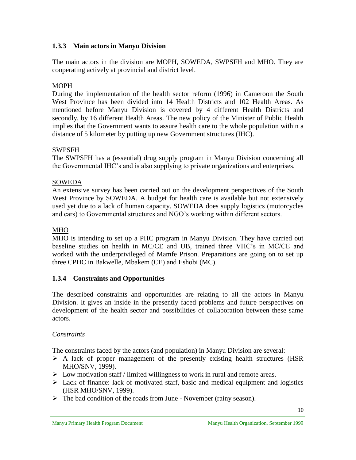## **1.3.3 Main actors in Manyu Division**

The main actors in the division are MOPH, SOWEDA, SWPSFH and MHO. They are cooperating actively at provincial and district level.

## MOPH

During the implementation of the health sector reform (1996) in Cameroon the South West Province has been divided into 14 Health Districts and 102 Health Areas. As mentioned before Manyu Division is covered by 4 different Health Districts and secondly, by 16 different Health Areas. The new policy of the Minister of Public Health implies that the Government wants to assure health care to the whole population within a distance of 5 kilometer by putting up new Government structures (IHC).

## SWPSFH

The SWPSFH has a (essential) drug supply program in Manyu Division concerning all the Governmental IHC's and is also supplying to private organizations and enterprises.

## **SOWEDA**

An extensive survey has been carried out on the development perspectives of the South West Province by SOWEDA. A budget for health care is available but not extensively used yet due to a lack of human capacity. SOWEDA does supply logistics (motorcycles and cars) to Governmental structures and NGO's working within different sectors.

## MHO

MHO is intending to set up a PHC program in Manyu Division. They have carried out baseline studies on health in MC/CE and UB, trained three VHC's in MC/CE and worked with the underprivileged of Mamfe Prison. Preparations are going on to set up three CPHC in Bakwelle, Mbakem (CE) and Eshobi (MC).

#### **1.3.4 Constraints and Opportunities**

The described constraints and opportunities are relating to all the actors in Manyu Division. It gives an inside in the presently faced problems and future perspectives on development of the health sector and possibilities of collaboration between these same actors.

#### *Constraints*

The constraints faced by the actors (and population) in Manyu Division are several:

- $\triangleright$  A lack of proper management of the presently existing health structures (HSR MHO/SNV, 1999).
- $\triangleright$  Low motivation staff / limited willingness to work in rural and remote areas.
- $\triangleright$  Lack of finance: lack of motivated staff, basic and medical equipment and logistics (HSR MHO/SNV, 1999).
- $\triangleright$  The bad condition of the roads from June November (rainy season).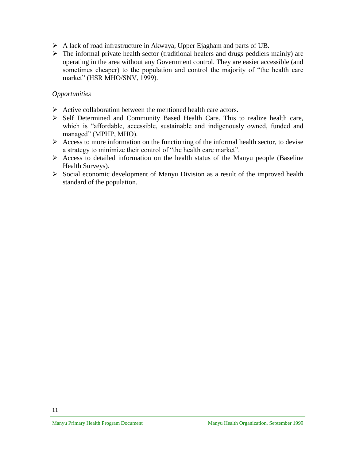- A lack of road infrastructure in Akwaya, Upper Ejagham and parts of UB.
- $\triangleright$  The informal private health sector (traditional healers and drugs peddlers mainly) are operating in the area without any Government control. They are easier accessible (and sometimes cheaper) to the population and control the majority of "the health care market" (HSR MHO/SNV, 1999).

### *Opportunities*

- $\triangleright$  Active collaboration between the mentioned health care actors.
- $\triangleright$  Self Determined and Community Based Health Care. This to realize health care, which is "affordable, accessible, sustainable and indigenously owned, funded and managed" (MPHP, MHO).
- $\triangleright$  Access to more information on the functioning of the informal health sector, to devise a strategy to minimize their control of "the health care market".
- $\triangleright$  Access to detailed information on the health status of the Manyu people (Baseline Health Surveys).
- $\triangleright$  Social economic development of Manyu Division as a result of the improved health standard of the population.

11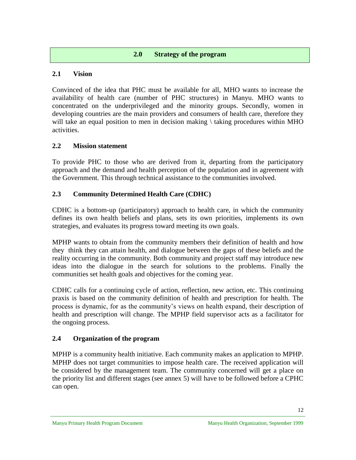### **2.0 Strategy of the program**

## **2.1 Vision**

Convinced of the idea that PHC must be available for all, MHO wants to increase the availability of health care (number of PHC structures) in Manyu. MHO wants to concentrated on the underprivileged and the minority groups. Secondly, women in developing countries are the main providers and consumers of health care, therefore they will take an equal position to men in decision making  $\hat{}$  taking procedures within MHO activities.

## **2.2 Mission statement**

To provide PHC to those who are derived from it, departing from the participatory approach and the demand and health perception of the population and in agreement with the Government. This through technical assistance to the communities involved.

## **2.3 Community Determined Health Care (CDHC)**

CDHC is a bottom-up (participatory) approach to health care, in which the community defines its own health beliefs and plans, sets its own priorities, implements its own strategies, and evaluates its progress toward meeting its own goals.

MPHP wants to obtain from the community members their definition of health and how they think they can attain health, and dialogue between the gaps of these beliefs and the reality occurring in the community. Both community and project staff may introduce new ideas into the dialogue in the search for solutions to the problems. Finally the communities set health goals and objectives for the coming year.

CDHC calls for a continuing cycle of action, reflection, new action, etc. This continuing praxis is based on the community definition of health and prescription for health. The process is dynamic, for as the community's views on health expand, their description of health and prescription will change. The MPHP field supervisor acts as a facilitator for the ongoing process.

#### **2.4 Organization of the program**

MPHP is a community health initiative. Each community makes an application to MPHP. MPHP does not target communities to impose health care. The received application will be considered by the management team. The community concerned will get a place on the priority list and different stages (see annex 5) will have to be followed before a CPHC can open.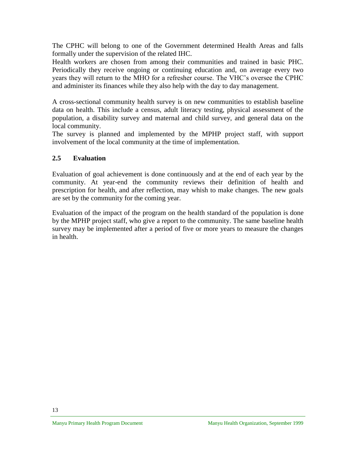The CPHC will belong to one of the Government determined Health Areas and falls formally under the supervision of the related IHC.

Health workers are chosen from among their communities and trained in basic PHC. Periodically they receive ongoing or continuing education and, on average every two years they will return to the MHO for a refresher course. The VHC's oversee the CPHC and administer its finances while they also help with the day to day management.

A cross-sectional community health survey is on new communities to establish baseline data on health. This include a census, adult literacy testing, physical assessment of the population, a disability survey and maternal and child survey, and general data on the local community.

The survey is planned and implemented by the MPHP project staff, with support involvement of the local community at the time of implementation.

## **2.5 Evaluation**

Evaluation of goal achievement is done continuously and at the end of each year by the community. At year-end the community reviews their definition of health and prescription for health, and after reflection, may whish to make changes. The new goals are set by the community for the coming year.

Evaluation of the impact of the program on the health standard of the population is done by the MPHP project staff, who give a report to the community. The same baseline health survey may be implemented after a period of five or more years to measure the changes in health.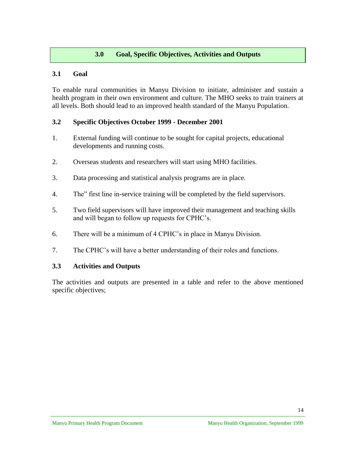## **3.0 Goal, Specific Objectives, Activities and Outputs**

#### **3.1 Goal**

To enable rural communities in Manyu Division to initiate, administer and sustain a health program in their own environment and culture. The MHO seeks to train trainers at all levels. Both should lead to an improved health standard of the Manyu Population.

#### **3.2 Specific Objectives October 1999 - December 2001**

- 1. External funding will continue to be sought for capital projects, educational developments and running costs.
- 2. Overseas students and researchers will start using MHO facilities.
- 3. Data processing and statistical analysis programs are in place.
- 4. The" first line in-service training will be completed by the field supervisors.
- 5. Two field supervisors will have improved their management and teaching skills and will began to follow up requests for CPHC's.
- 6. There will be a minimum of 4 CPHC's in place in Manyu Division.
- 7. The CPHC's will have a better understanding of their roles and functions.

#### **3.3 Activities and Outputs**

The activities and outputs are presented in a table and refer to the above mentioned specific objectives;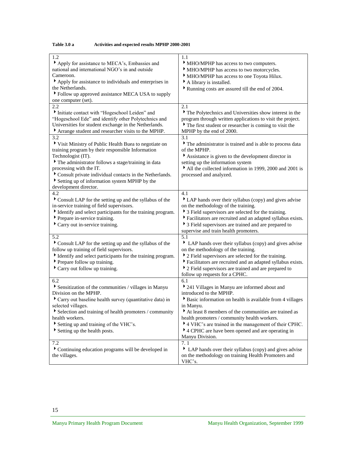| 1.2<br>Apply for assistance to MECA's, Embassies and<br>national and international NGO's in and outside<br>Cameroon.<br>Apply for assistance to individuals and enterprises in<br>the Netherlands.<br>Follow up approved assistance MECA USA to supply<br>one computer (set).                                                                               | 1.1<br>MHO/MPHP has access to two computers.<br>MHO/MPHP has access to two motorcycles.<br>MHO/MPHP has access to one Toyota Hilux.<br>A library is installed.<br>Running costs are assured till the end of 2004.                                                                                                                                                                              |
|-------------------------------------------------------------------------------------------------------------------------------------------------------------------------------------------------------------------------------------------------------------------------------------------------------------------------------------------------------------|------------------------------------------------------------------------------------------------------------------------------------------------------------------------------------------------------------------------------------------------------------------------------------------------------------------------------------------------------------------------------------------------|
| 2.2<br>Initiate contact with "Hogeschool Leiden" and<br>"Hogeschool Ede" and identify other Polytechnics and<br>Universities for student exchange in the Netherlands.<br>Arrange student and researcher visits to the MPHP.                                                                                                                                 | 2.1<br>The Polytechnics and Universities show interest in the<br>program through written applications to visit the project.<br>The first student or researcher is coming to visit the<br>MPHP by the end of 2000.                                                                                                                                                                              |
| 3.2<br>Visit Ministry of Public Health Buea to negotiate on<br>training program by their responsible Information<br>Technologist (IT).<br>The administrator follows a stage/training in data<br>processing with the IT.<br>Consult private individual contacts in the Netherlands.<br>Setting up of information system MPHP by the<br>development director. | 3.1<br>The administrator is trained and is able to process data<br>of the MPHP.<br>Assistance is given to the development director in<br>setting up the information system<br>All the collected information in 1999, 2000 and 2001 is<br>processed and analyzed.                                                                                                                               |
| 4.2<br>Consult LAP for the setting up and the syllabus of the<br>in-service training of field supervisors.<br>Identify and select participants for the training program.<br>▶ Prepare in-service training.<br>Carry out in-service training.                                                                                                                | 4.1<br>• LAP hands over their syllabus (copy) and gives advise<br>on the methodology of the training.<br>• 3 Field supervisors are selected for the training.<br>Facilitators are recruited and an adapted syllabus exists.<br>S Field supervisors are trained and are prepared to<br>supervise and train health promoters.                                                                    |
| 5.2<br>Consult LAP for the setting up and the syllabus of the<br>follow up training of field supervisors.<br>Identify and select participants for the training program.<br>▶ Prepare follow up training.<br>Carry out follow up training.                                                                                                                   | 5.1<br>• LAP hands over their syllabus (copy) and gives advise<br>on the methodology of the training.<br>▶ 2 Field supervisors are selected for the training.<br>Facilitators are recruited and an adapted syllabus exists.<br>• 2 Field supervisors are trained and are prepared to<br>follow up requests for a CPHC.                                                                         |
| 6.2<br>Sensitization of the communities / villages in Manyu<br>Division on the MPHP.<br>Carry out baseline health survey (quantitative data) in<br>selected villages.<br>Selection and training of health promoters / community<br>health workers.<br>Setting up and training of the VHC's.<br>Setting up the health posts.                                 | 6.1<br>241 Villages in Manyu are informed about and<br>introduced to the MPHP.<br>Basic information on health is available from 4 villages<br>in Manyu.<br>At least 8 members of the communities are trained as<br>health promoters / community health workers.<br>A VHC's are trained in the management of their CPHC.<br>A CPHC are have been opened and are operating in<br>Manyu Division. |
| 7.2<br>Continuing education programs will be developed in<br>the villages.                                                                                                                                                                                                                                                                                  | 7.1<br>• LAP hands over their syllabus (copy) and gives advise<br>on the methodology on training Health Promoters and<br>VHC's.                                                                                                                                                                                                                                                                |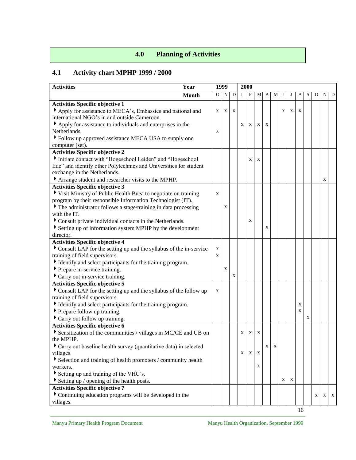## **4.0 Planning of Activities**

# **4.1 Activity chart MPHP 1999 / 2000**

| <b>Activities</b><br>Year                                                          | 1999           |   |   |              | 2000        |             |             |   |   |   |   |   |              |   |              |
|------------------------------------------------------------------------------------|----------------|---|---|--------------|-------------|-------------|-------------|---|---|---|---|---|--------------|---|--------------|
| <b>Month</b>                                                                       | $\overline{O}$ | N | D | $\mathbf{J}$ | $\mathbf F$ | M           | A           | М | J | J | A | S | $\mathbf{O}$ | N | D            |
| <b>Activities Specific objective 1</b>                                             |                |   |   |              |             |             |             |   |   |   |   |   |              |   |              |
| Apply for assistance to MECA's, Embassies and national and                         | X              | X | X |              |             |             |             |   | X | X | X |   |              |   |              |
| international NGO's in and outside Cameroon.                                       |                |   |   |              |             |             |             |   |   |   |   |   |              |   |              |
| Apply for assistance to individuals and enterprises in the                         |                |   |   | X            | X           | $\mathbf X$ | X           |   |   |   |   |   |              |   |              |
| Netherlands.                                                                       | X              |   |   |              |             |             |             |   |   |   |   |   |              |   |              |
| Follow up approved assistance MECA USA to supply one                               |                |   |   |              |             |             |             |   |   |   |   |   |              |   |              |
| computer (set).                                                                    |                |   |   |              |             |             |             |   |   |   |   |   |              |   |              |
| <b>Activities Specific objective 2</b>                                             |                |   |   |              |             |             |             |   |   |   |   |   |              |   |              |
| Initiate contact with "Hogeschool Leiden" and "Hogeschool                          |                |   |   |              | X           | X           |             |   |   |   |   |   |              |   |              |
| Ede" and identify other Polytechnics and Universities for student                  |                |   |   |              |             |             |             |   |   |   |   |   |              |   |              |
| exchange in the Netherlands.                                                       |                |   |   |              |             |             |             |   |   |   |   |   |              |   |              |
| Arrange student and researcher visits to the MPHP.                                 |                |   |   |              |             |             |             |   |   |   |   |   |              | X |              |
| <b>Activities Specific objective 3</b>                                             |                |   |   |              |             |             |             |   |   |   |   |   |              |   |              |
| Visit Ministry of Public Health Buea to negotiate on training                      | X              |   |   |              |             |             |             |   |   |   |   |   |              |   |              |
| program by their responsible Information Technologist (IT).                        |                |   |   |              |             |             |             |   |   |   |   |   |              |   |              |
| The administrator follows a stage/training in data processing                      |                | X |   |              |             |             |             |   |   |   |   |   |              |   |              |
| with the IT.                                                                       |                |   |   |              |             |             |             |   |   |   |   |   |              |   |              |
| Consult private individual contacts in the Netherlands.                            |                |   |   |              | X           |             |             |   |   |   |   |   |              |   |              |
| Setting up of information system MPHP by the development                           |                |   |   |              |             |             | X           |   |   |   |   |   |              |   |              |
| director.                                                                          |                |   |   |              |             |             |             |   |   |   |   |   |              |   |              |
| <b>Activities Specific objective 4</b>                                             |                |   |   |              |             |             |             |   |   |   |   |   |              |   |              |
| Consult LAP for the setting up and the syllabus of the in-service                  | $\mathbf X$    |   |   |              |             |             |             |   |   |   |   |   |              |   |              |
| training of field supervisors.                                                     | $\mathbf{X}$   |   |   |              |             |             |             |   |   |   |   |   |              |   |              |
| Identify and select participants for the training program.                         |                |   |   |              |             |             |             |   |   |   |   |   |              |   |              |
| ▶ Prepare in-service training.                                                     |                | X |   |              |             |             |             |   |   |   |   |   |              |   |              |
| Carry out in-service training.                                                     |                |   | X |              |             |             |             |   |   |   |   |   |              |   |              |
| <b>Activities Specific objective 5</b>                                             |                |   |   |              |             |             |             |   |   |   |   |   |              |   |              |
| Consult LAP for the setting up and the syllabus of the follow up                   | X              |   |   |              |             |             |             |   |   |   |   |   |              |   |              |
| training of field supervisors.                                                     |                |   |   |              |             |             |             |   |   |   |   |   |              |   |              |
| Identify and select participants for the training program.                         |                |   |   |              |             |             |             |   |   |   | X |   |              |   |              |
| ▶ Prepare follow up training.                                                      |                |   |   |              |             |             |             |   |   |   | X |   |              |   |              |
| Carry out follow up training.                                                      |                |   |   |              |             |             |             |   |   |   |   | X |              |   |              |
| <b>Activities Specific objective 6</b>                                             |                |   |   |              |             |             |             |   |   |   |   |   |              |   |              |
| Sensitization of the communities / villages in MC/CE and UB on                     |                |   |   | X            | X           | X           |             |   |   |   |   |   |              |   |              |
| the MPHP.                                                                          |                |   |   |              |             |             |             |   |   |   |   |   |              |   |              |
| Carry out baseline health survey (quantitative data) in selected                   |                |   |   |              |             |             | $\mathbf X$ | X |   |   |   |   |              |   |              |
| villages.                                                                          |                |   |   | X            | X           | X           |             |   |   |   |   |   |              |   |              |
| Selection and training of health promoters / community health                      |                |   |   |              |             | X           |             |   |   |   |   |   |              |   |              |
| workers.                                                                           |                |   |   |              |             |             |             |   |   |   |   |   |              |   |              |
| Setting up and training of the VHC's.<br>Setting up / opening of the health posts. |                |   |   |              |             |             |             |   | X | X |   |   |              |   |              |
| <b>Activities Specific objective 7</b>                                             |                |   |   |              |             |             |             |   |   |   |   |   |              |   |              |
| Continuing education programs will be developed in the                             |                |   |   |              |             |             |             |   |   |   |   |   |              |   |              |
|                                                                                    |                |   |   |              |             |             |             |   |   |   |   |   | X            | X | $\mathbf{X}$ |
| villages.                                                                          |                |   |   |              |             |             |             |   |   |   |   |   |              |   |              |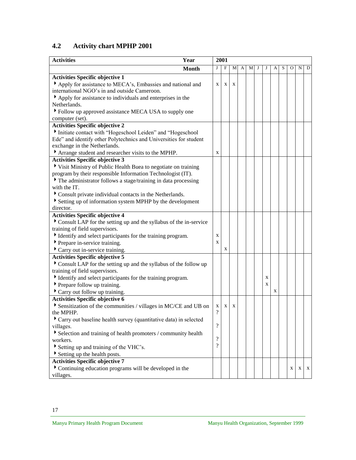## **4.2 Activity chart MPHP 2001**

| <b>Activities</b><br>Year                                                   | 2001                          |              |   |   |   |   |  |        |   |   |   |   |   |
|-----------------------------------------------------------------------------|-------------------------------|--------------|---|---|---|---|--|--------|---|---|---|---|---|
| <b>Month</b>                                                                | J                             | $\mathbf{F}$ | M | A | M | J |  |        | А | S | O | N | D |
| <b>Activities Specific objective 1</b>                                      |                               |              |   |   |   |   |  |        |   |   |   |   |   |
| Apply for assistance to MECA's, Embassies and national and                  | X                             | X            | X |   |   |   |  |        |   |   |   |   |   |
| international NGO's in and outside Cameroon.                                |                               |              |   |   |   |   |  |        |   |   |   |   |   |
| Apply for assistance to individuals and enterprises in the                  |                               |              |   |   |   |   |  |        |   |   |   |   |   |
| Netherlands.                                                                |                               |              |   |   |   |   |  |        |   |   |   |   |   |
| Follow up approved assistance MECA USA to supply one                        |                               |              |   |   |   |   |  |        |   |   |   |   |   |
| computer (set).                                                             |                               |              |   |   |   |   |  |        |   |   |   |   |   |
| <b>Activities Specific objective 2</b>                                      |                               |              |   |   |   |   |  |        |   |   |   |   |   |
| Initiate contact with "Hogeschool Leiden" and "Hogeschool                   |                               |              |   |   |   |   |  |        |   |   |   |   |   |
| Ede" and identify other Polytechnics and Universities for student           |                               |              |   |   |   |   |  |        |   |   |   |   |   |
| exchange in the Netherlands.                                                |                               |              |   |   |   |   |  |        |   |   |   |   |   |
| Arrange student and researcher visits to the MPHP.                          | X                             |              |   |   |   |   |  |        |   |   |   |   |   |
| <b>Activities Specific objective 3</b>                                      |                               |              |   |   |   |   |  |        |   |   |   |   |   |
| Visit Ministry of Public Health Buea to negotiate on training               |                               |              |   |   |   |   |  |        |   |   |   |   |   |
| program by their responsible Information Technologist (IT).                 |                               |              |   |   |   |   |  |        |   |   |   |   |   |
| The administrator follows a stage/training in data processing               |                               |              |   |   |   |   |  |        |   |   |   |   |   |
| with the IT.                                                                |                               |              |   |   |   |   |  |        |   |   |   |   |   |
| Consult private individual contacts in the Netherlands.                     |                               |              |   |   |   |   |  |        |   |   |   |   |   |
| Setting up of information system MPHP by the development                    |                               |              |   |   |   |   |  |        |   |   |   |   |   |
| director.                                                                   |                               |              |   |   |   |   |  |        |   |   |   |   |   |
| <b>Activities Specific objective 4</b>                                      |                               |              |   |   |   |   |  |        |   |   |   |   |   |
| Consult LAP for the setting up and the syllabus of the in-service           |                               |              |   |   |   |   |  |        |   |   |   |   |   |
| training of field supervisors.                                              |                               |              |   |   |   |   |  |        |   |   |   |   |   |
| Identify and select participants for the training program.                  | X                             |              |   |   |   |   |  |        |   |   |   |   |   |
| ▶ Prepare in-service training.                                              | X                             | X            |   |   |   |   |  |        |   |   |   |   |   |
| $\triangleright$ Carry out in-service training.                             |                               |              |   |   |   |   |  |        |   |   |   |   |   |
| <b>Activities Specific objective 5</b>                                      |                               |              |   |   |   |   |  |        |   |   |   |   |   |
| Consult LAP for the setting up and the syllabus of the follow up            |                               |              |   |   |   |   |  |        |   |   |   |   |   |
| training of field supervisors.                                              |                               |              |   |   |   |   |  |        |   |   |   |   |   |
| Identify and select participants for the training program.                  |                               |              |   |   |   |   |  | X<br>X |   |   |   |   |   |
| ▶ Prepare follow up training.                                               |                               |              |   |   |   |   |  |        | X |   |   |   |   |
| Carry out follow up training.                                               |                               |              |   |   |   |   |  |        |   |   |   |   |   |
| <b>Activities Specific objective 6</b>                                      |                               |              |   |   |   |   |  |        |   |   |   |   |   |
| Sensitization of the communities / villages in MC/CE and UB on<br>the MPHP. | X<br>$\overline{\mathcal{L}}$ | X            | X |   |   |   |  |        |   |   |   |   |   |
| Carry out baseline health survey (quantitative data) in selected            |                               |              |   |   |   |   |  |        |   |   |   |   |   |
| villages.                                                                   | $\overline{\cdot}$            |              |   |   |   |   |  |        |   |   |   |   |   |
| Selection and training of health promoters / community health               |                               |              |   |   |   |   |  |        |   |   |   |   |   |
| workers.                                                                    | $\overline{\cdot}$            |              |   |   |   |   |  |        |   |   |   |   |   |
| Setting up and training of the VHC's.                                       | $\overline{\mathcal{L}}$      |              |   |   |   |   |  |        |   |   |   |   |   |
| Setting up the health posts.                                                |                               |              |   |   |   |   |  |        |   |   |   |   |   |
| <b>Activities Specific objective 7</b>                                      |                               |              |   |   |   |   |  |        |   |   |   |   |   |
| Continuing education programs will be developed in the                      |                               |              |   |   |   |   |  |        |   |   | X | X | X |
| villages.                                                                   |                               |              |   |   |   |   |  |        |   |   |   |   |   |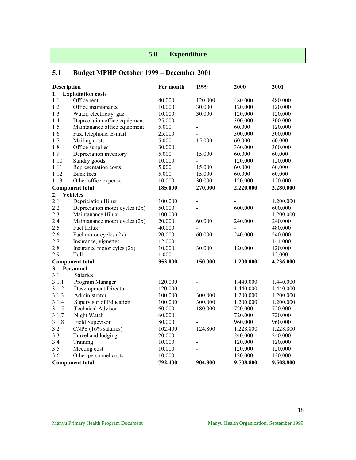## **5.0 Expenditure**

# 5.1 Budget MPHP October 1999 – December 2001

| <b>Description</b> |                                  | Per month | 1999           | 2000      | 2001      |
|--------------------|----------------------------------|-----------|----------------|-----------|-----------|
| 1.                 | <b>Exploitation costs</b>        |           |                |           |           |
| 1.1                | Office rent                      | 40.000    | 120.000        | 480.000   | 480.000   |
| 1.2                | Office maintanance               | 10.000    | 30.000         | 120.000   | 120.000   |
| 1.3                | Water, electricity, gaz          | 10.000    | 30.000         | 120.000   | 120.000   |
| 1.4                | Depreciation office equipment    | 25.000    | $\overline{a}$ | 300.000   | 300.000   |
| 1.5                | Maintanance office equipment     | 5.000     | $\overline{a}$ | 60.000    | 120.000   |
| 1.6                | Fax, telephone, E-mail           | 25.000    |                | 300.000   | 300.000   |
| 1.7                | Mailing costs                    | 5.000     | 15.000         | 60.000    | 60.000    |
| 1.8                | Office supplies                  | 30.000    |                | 360.000   | 360.000   |
| 1.9                | Depreciation inventory           | 5.000     | 15.000         | 60.000    | 60.000    |
| 1.10               | Sundry goods                     | 10.000    |                | 120.000   | 120.000   |
| 1.11               | Representation costs             | 5.000     | 15.000         | 60.000    | 60.000    |
| 1.12               | <b>Bank</b> fees                 | 5.000     | 15.000         | 60.000    | 60.000    |
| 1.13               | Other office expense             | 10.000    | 30.000         | 120.000   | 120.000   |
|                    | <b>Component total</b>           | 185.000   | 270.000        | 2.220.000 | 2.280.000 |
| $\overline{2}$ .   | <b>Vehicles</b>                  |           |                |           |           |
| 2.1                | Depriciation Hilux               | 100.000   |                |           | 1.200.000 |
| 2.2                | Depreciation motor cycles $(2x)$ | 50.000    | $\blacksquare$ | 600.000   | 600.000   |
| 2.3                | Maintanance Hilux                | 100.000   |                |           | 1.200.000 |
| 2.4                | Maintanance motor cycles (2x)    | 20.000    | 60.000         | 240.000   | 240.000   |
| 2.5                | Fuel Hilux                       | 40.000    |                |           | 480.000   |
| 2.6                | Fuel motor cycles $(2x)$         | 20.000    | 60.000         | 240.000   | 240.000   |
| 2.7                | Insurance, vignettes             | 12.000    |                |           | 144.000   |
| 2.8                | Insurance motor cyles $(2x)$     | 10.000    | 30.000         | 120.000   | 120.000   |
| 2.9                | Toll                             | 1.000     |                |           | 12.000    |
|                    | <b>Component total</b>           | 353.000   | 150.000        | 1.200.000 | 4.236.000 |
| 3.                 | Personnel                        |           |                |           |           |
| 3.1                | Salaries                         |           |                |           |           |
| 3.1.1              | Program Manager                  | 120.000   |                | 1.440.000 | 1.440.000 |
| 3.1.2              | Development Director             | 120.000   |                | 1.440.000 | 1.440.000 |
| 3.1.3              | Administrator                    | 100.000   | 300.000        | 1.200.000 | 1.200.000 |
| 3.1.4              | Supervisor of Education          | 100.000   | 300.000        | 1.200.000 | 1.200.000 |
| 3.1.5              | <b>Technical Advisor</b>         | 60.000    | 180.000        | 720.000   | 720.000   |
| 3.1.7              | Night Watch                      | 60.000    | $\overline{a}$ | 720.000   | 720.000   |
| 3.1.8              | Field Supevisor                  | 80.000    |                | 960.000   | 960.000   |
| 3.2                | CNPS (16% salaries)              | 102.400   | 124.800        | 1.228.800 | 1.228.800 |
| 3.3                | Travel and lodging               | 20.000    |                | 240.000   | 240.000   |
| 3.4                | Training                         | 10.000    | $\overline{a}$ | 120.000   | 120.000   |
| 3.5                | Meeting cost                     | 10.000    | $\overline{a}$ | 120.000   | 120.000   |
| 3.6                | Other personnel costs            | 10.000    | $\overline{a}$ | 120.000   | 120.000   |
|                    | <b>Component total</b>           | 792.400   | 904.800        | 9.508.800 | 9.508.800 |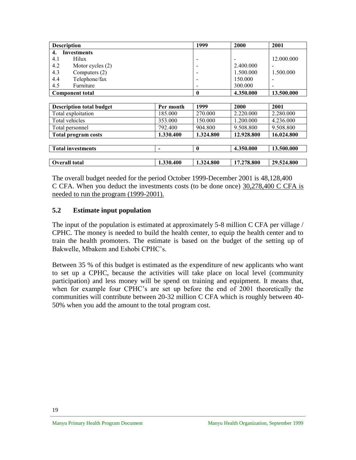| <b>Description</b>              |           | 1999      | 2000       | 2001       |  |  |  |  |  |  |  |
|---------------------------------|-----------|-----------|------------|------------|--|--|--|--|--|--|--|
| <b>Investments</b><br>4.        |           |           |            |            |  |  |  |  |  |  |  |
| Hilux<br>4.1                    |           |           |            | 12.000.000 |  |  |  |  |  |  |  |
| 4.2<br>Motor cycles $(2)$       |           |           | 2.400.000  |            |  |  |  |  |  |  |  |
| 4.3<br>Computers $(2)$          |           |           | 1.500.000  | 1.500.000  |  |  |  |  |  |  |  |
| Telephone/fax<br>4.4            |           |           | 150.000    |            |  |  |  |  |  |  |  |
| 4.5<br>Furniture                |           |           | 300.000    |            |  |  |  |  |  |  |  |
| <b>Component total</b>          |           | 0         | 4.350.000  | 13.500.000 |  |  |  |  |  |  |  |
|                                 |           |           |            |            |  |  |  |  |  |  |  |
| <b>Description total budget</b> | Per month | 1999      | 2000       | 2001       |  |  |  |  |  |  |  |
| Total exploitation              | 185.000   | 270.000   | 2.220.000  | 2.280.000  |  |  |  |  |  |  |  |
| Total vehicles                  | 353.000   | 150.000   | 1.200.000  | 4.236.000  |  |  |  |  |  |  |  |
| Total personnel                 | 792.400   | 904.800   | 9.508.800  | 9.508.800  |  |  |  |  |  |  |  |
| <b>Total program costs</b>      | 1.330.400 | 1.324.800 | 12.928.800 | 16.024.800 |  |  |  |  |  |  |  |
|                                 |           |           |            |            |  |  |  |  |  |  |  |
| <b>Total investments</b>        | -         | 0         | 4.350.000  | 13.500.000 |  |  |  |  |  |  |  |
|                                 |           |           |            |            |  |  |  |  |  |  |  |
| <b>Overall total</b>            | 1.330.400 | 1.324.800 | 17.278.800 | 29.524.800 |  |  |  |  |  |  |  |

The overall budget needed for the period October 1999-December 2001 is 48,128,400 C CFA. When you deduct the investments costs (to be done once) 30,278,400 C CFA is needed to run the program (1999-2001).

#### **5.2 Estimate input population**

The input of the population is estimated at approximately 5-8 million C CFA per village / CPHC. The money is needed to build the health center, to equip the health center and to train the health promoters. The estimate is based on the budget of the setting up of Bakwelle, Mbakem and Eshobi CPHC's.

Between 35 % of this budget is estimated as the expenditure of new applicants who want to set up a CPHC, because the activities will take place on local level (community participation) and less money will be spend on training and equipment. It means that, when for example four CPHC's are set up before the end of 2001 theoretically the communities will contribute between 20-32 million C CFA which is roughly between 40- 50% when you add the amount to the total program cost.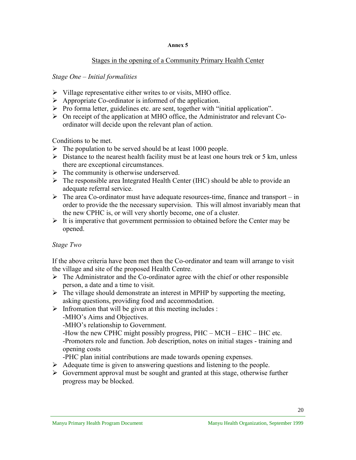#### Annex 5

#### Stages in the opening of a Community Primary Health Center

*Stage One – Initial formalities*

- $\triangleright$  Village representative either writes to or visits, MHO office.
- $\triangleright$  Appropriate Co-ordinator is informed of the application.
- $\triangleright$  Pro forma letter, guidelines etc. are sent, together with "initial application".
- $\triangleright$  On receipt of the application at MHO office, the Administrator and relevant Coordinator will decide upon the relevant plan of action.

Conditions to be met.

- $\triangleright$  The population to be served should be at least 1000 people.
- $\triangleright$  Distance to the nearest health facility must be at least one hours trek or 5 km, unless there are exceptional circumstances.
- $\triangleright$  The community is otherwise underserved.
- $\triangleright$  The responsible area Integrated Health Center (IHC) should be able to provide an adequate referral service.
- $\triangleright$  The area Co-ordinator must have adequate resources-time, finance and transport in order to provide the the necessary supervision. This will almost invariably mean that the new CPHC is, or will very shortly become, one of a cluster.
- $\triangleright$  It is imperative that government permission to obtained before the Center may be opened.

*Stage Two*

If the above criteria have been met then the Co-ordinator and team will arrange to visit the village and site of the proposed Health Centre.

- $\triangleright$  The Administrator and the Co-ordinator agree with the chief or other responsible person, a date and a time to visit.
- $\triangleright$  The village should demonstrate an interest in MPHP by supporting the meeting, asking questions, providing food and accommodation.
- $\triangleright$  Infromation that will be given at this meeting includes :
	- -MHO's Aims and Objectives.

-MHO's relationship to Government.

-How the new CPHC might possibly progress, PHC – MCH – EHC – IHC etc.

-Promoters role and function. Job description, notes on initial stages - training and opening costs

-PHC plan initial contributions are made towards opening expenses.

- $\triangleright$  Adequate time is given to answering questions and listening to the people.
- $\triangleright$  Government approval must be sought and granted at this stage, otherwise further progress may be blocked.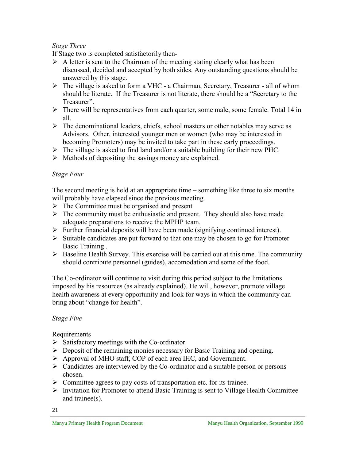## *Stage Three*

If Stage two is completed satisfactorily then-

- $\triangleright$  A letter is sent to the Chairman of the meeting stating clearly what has been discussed, decided and accepted by both sides. Any outstanding questions should be answered by this stage.
- The village is asked to form a VHC a Chairman, Secretary, Treasurer all of whom should be literate. If the Treasurer is not literate, there should be a "Secretary to the Treasurer".
- $\triangleright$  There will be representatives from each quarter, some male, some female. Total 14 in all.
- $\triangleright$  The denominational leaders, chiefs, school masters or other notables may serve as Advisors. Other, interested younger men or women (who may be interested in becoming Promoters) may be invited to take part in these early proceedings.
- $\triangleright$  The village is asked to find land and/or a suitable building for their new PHC.
- $\triangleright$  Methods of depositing the savings money are explained.

## *Stage Four*

The second meeting is held at an appropriate time – something like three to six months will probably have elapsed since the previous meeting.

- $\triangleright$  The Committee must be organised and present
- $\triangleright$  The community must be enthusiastic and present. They should also have made adequate preparations to receive the MPHP team.
- $\triangleright$  Further financial deposits will have been made (signifying continued interest).
- $\triangleright$  Suitable candidates are put forward to that one may be chosen to go for Promoter Basic Training .
- $\triangleright$  Baseline Health Survey. This exercise will be carried out at this time. The community should contribute personnel (guides), accomodation and some of the food.

The Co-ordinator will continue to visit during this period subject to the limitations imposed by his resources (as already explained). He will, however, promote village health awareness at every opportunity and look for ways in which the community can bring about "change for health".

#### *Stage Five*

Requirements

- $\triangleright$  Satisfactory meetings with the Co-ordinator.
- $\triangleright$  Deposit of the remaining monies necessary for Basic Training and opening.
- Approval of MHO staff, COP of each area IHC, and Government.
- $\triangleright$  Candidates are interviewed by the Co-ordinator and a suitable person or persons chosen.
- $\triangleright$  Committee agrees to pay costs of transportation etc. for its trainee.
- $\triangleright$  Invitation for Promoter to attend Basic Training is sent to Village Health Committee and trainee(s).

21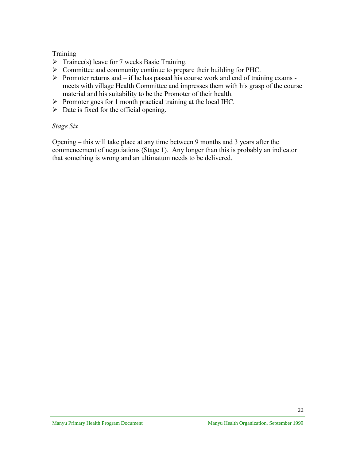#### Training

- $\triangleright$  Trainee(s) leave for 7 weeks Basic Training.
- $\triangleright$  Committee and community continue to prepare their building for PHC.
- $\triangleright$  Promoter returns and if he has passed his course work and end of training exams meets with village Health Committee and impresses them with his grasp of the course material and his suitability to be the Promoter of their health.
- $\triangleright$  Promoter goes for 1 month practical training at the local IHC.
- $\triangleright$  Date is fixed for the official opening.

#### *Stage Six*

Opening – this will take place at any time between 9 months and 3 years after the commencement of negotiations (Stage 1). Any longer than this is probably an indicator that something is wrong and an ultimatum needs to be delivered.